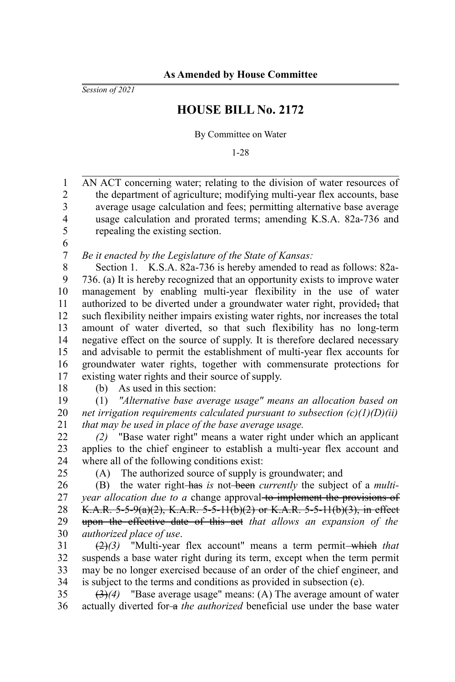*Session of 2021*

## **HOUSE BILL No. 2172**

By Committee on Water

1-28

AN ACT concerning water; relating to the division of water resources of the department of agriculture; modifying multi-year flex accounts, base average usage calculation and fees; permitting alternative base average usage calculation and prorated terms; amending K.S.A. 82a-736 and repealing the existing section. 1 2 3 4 5

6 7

*Be it enacted by the Legislature of the State of Kansas:*

Section 1. K.S.A. 82a-736 is hereby amended to read as follows: 82a-736. (a) It is hereby recognized that an opportunity exists to improve water management by enabling multi-year flexibility in the use of water authorized to be diverted under a groundwater water right, provided, that such flexibility neither impairs existing water rights, nor increases the total amount of water diverted, so that such flexibility has no long-term negative effect on the source of supply. It is therefore declared necessary and advisable to permit the establishment of multi-year flex accounts for groundwater water rights, together with commensurate protections for existing water rights and their source of supply. 8 9 10 11 12 13 14 15 16 17

18

(b) As used in this section:

(1) *"Alternative base average usage" means an allocation based on net irrigation requirements calculated pursuant to subsection (c)(1)(D)(ii) that may be used in place of the base average usage.* 19 20 21

*(2)* "Base water right" means a water right under which an applicant applies to the chief engineer to establish a multi-year flex account and where all of the following conditions exist: 22 23 24

25

(A) The authorized source of supply is groundwater; and

(B) the water right has *is* not been *currently* the subject of a *multiyear allocation due to a* change approval to implement the provisions of K.A.R. 5-5-9(a)(2), K.A.R. 5-5-11(b)(2) or K.A.R. 5-5-11(b)(3), in effect upon the effective date of this act *that allows an expansion of the authorized place of use*. 26 27 28 29 30

(2)(3) "Multi-year flex account" means a term permit—which that suspends a base water right during its term, except when the term permit may be no longer exercised because of an order of the chief engineer, and is subject to the terms and conditions as provided in subsection (e). 31 32 33 34

(3)*(4)* "Base average usage" means: (A) The average amount of water actually diverted for-a *the authorized* beneficial use under the base water 35 36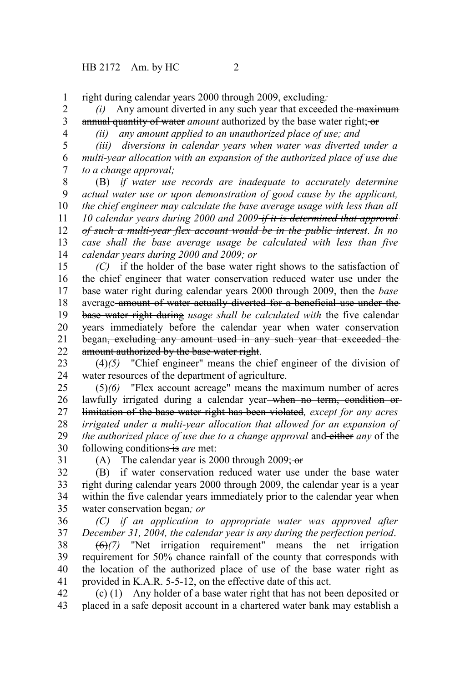right during calendar years 2000 through 2009, excluding*:* 1

*(i)* Any amount diverted in any such year that exceeded the maximum annual quantity of water *amount* authorized by the base water right; or 2 3

4

*(ii) any amount applied to an unauthorized place of use; and*

*(iii) diversions in calendar years when water was diverted under a multi-year allocation with an expansion of the authorized place of use due to a change approval;* 5 6 7

(B) *if water use records are inadequate to accurately determine actual water use or upon demonstration of good cause by the applicant, the chief engineer may calculate the base average usage with less than all 10 calendar years during 2000 and 2009 if it is determined that approval of such a multi-year flex account would be in the public interest. In no case shall the base average usage be calculated with less than five calendar years during 2000 and 2009; or* 8 9 10 11 12 13 14

*(C)* if the holder of the base water right shows to the satisfaction of the chief engineer that water conservation reduced water use under the base water right during calendar years 2000 through 2009, then the *base* average amount of water actually diverted for a beneficial use under the base water right during *usage shall be calculated with* the five calendar years immediately before the calendar year when water conservation began, excluding any amount used in any such year that exceeded the amount authorized by the base water right. 15 16 17 18 19 20 21 22

(4)*(5)* "Chief engineer" means the chief engineer of the division of water resources of the department of agriculture. 23 24

(5)*(6)* "Flex account acreage" means the maximum number of acres lawfully irrigated during a calendar year when no term, condition or limitation of the base water right has been violated*, except for any acres irrigated under a multi-year allocation that allowed for an expansion of the authorized place of use due to a change approval* and either *any* of the following conditions is are met: 25 26 27 28 29 30

31

(A) The calendar year is 2000 through 2009; $\overline{\sigma}$ 

(B) if water conservation reduced water use under the base water right during calendar years 2000 through 2009, the calendar year is a year within the five calendar years immediately prior to the calendar year when water conservation began*; or* 32 33 34 35

*(C) if an application to appropriate water was approved after December 31, 2004, the calendar year is any during the perfection period*. 36 37

(6)*(7)* "Net irrigation requirement" means the net irrigation requirement for 50% chance rainfall of the county that corresponds with the location of the authorized place of use of the base water right as provided in K.A.R. 5-5-12, on the effective date of this act. 38 39 40 41

(c) (1) Any holder of a base water right that has not been deposited or placed in a safe deposit account in a chartered water bank may establish a 42 43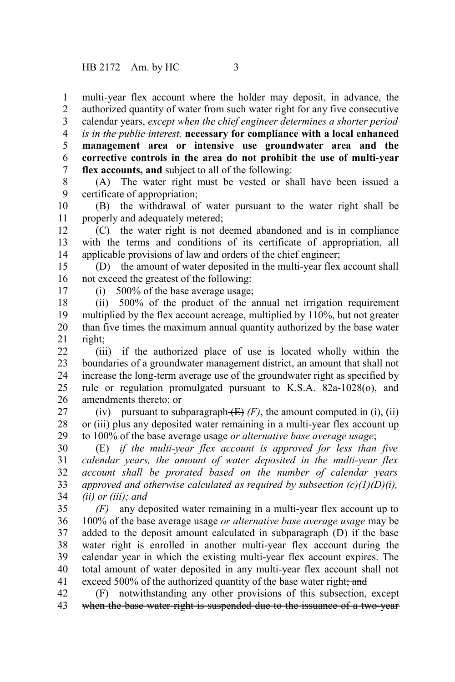multi-year flex account where the holder may deposit, in advance, the authorized quantity of water from such water right for any five consecutive 1 2

calendar years, *except when the chief engineer determines a shorter period* 3

*is in the public interest,* **necessary for compliance with a local enhanced** 4

**management area or intensive use groundwater area and the corrective controls in the area do not prohibit the use of multi-year flex accounts, and** subject to all of the following: 5 6 7

(A) The water right must be vested or shall have been issued a certificate of appropriation; 8 9

(B) the withdrawal of water pursuant to the water right shall be properly and adequately metered; 10 11

(C) the water right is not deemed abandoned and is in compliance with the terms and conditions of its certificate of appropriation, all applicable provisions of law and orders of the chief engineer; 12 13 14

(D) the amount of water deposited in the multi-year flex account shall not exceed the greatest of the following: 15 16

17

(i) 500% of the base average usage;

(ii) 500% of the product of the annual net irrigation requirement multiplied by the flex account acreage, multiplied by 110%, but not greater than five times the maximum annual quantity authorized by the base water right; 18 19 20 21

(iii) if the authorized place of use is located wholly within the boundaries of a groundwater management district, an amount that shall not increase the long-term average use of the groundwater right as specified by rule or regulation promulgated pursuant to K.S.A. 82a-1028(o), and amendments thereto; or 22 23 24 25 26

(iv) pursuant to subparagraph  $(E)$  (F), the amount computed in (i), (ii) or (iii) plus any deposited water remaining in a multi-year flex account up to 100% of the base average usage *or alternative base average usage*; 27 28 29

(E) *if the multi-year flex account is approved for less than five calendar years, the amount of water deposited in the multi-year flex account shall be prorated based on the number of calendar years approved and otherwise calculated as required by subsection (c)(1)(D)(i), (ii) or (iii); and* 30 31 32 33 34

*(F)* any deposited water remaining in a multi-year flex account up to 100% of the base average usage *or alternative base average usage* may be added to the deposit amount calculated in subparagraph (D) if the base water right is enrolled in another multi-year flex account during the calendar year in which the existing multi-year flex account expires. The total amount of water deposited in any multi-year flex account shall not exceed 500% of the authorized quantity of the base water right; and 35 36 37 38 39 40 41

(F) notwithstanding any other provisions of this subsection, except when the base water right is suspended due to the issuance of a two-year 42 43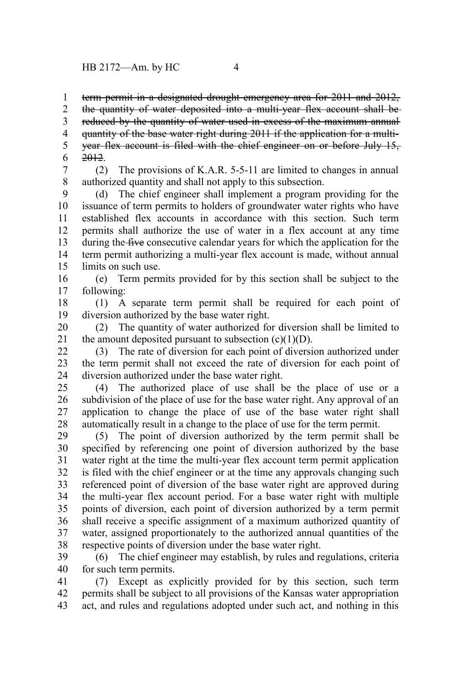term permit in a designated drought emergency area for 2011 and 2012, 1

the quantity of water deposited into a multi-year flex account shall be reduced by the quantity of water used in excess of the maximum annual quantity of the base water right during 2011 if the application for a multiyear flex account is filed with the chief engineer on or before July 15, 2012. 2 3 4 5 6

(2) The provisions of K.A.R. 5-5-11 are limited to changes in annual authorized quantity and shall not apply to this subsection. 7 8

(d) The chief engineer shall implement a program providing for the issuance of term permits to holders of groundwater water rights who have established flex accounts in accordance with this section. Such term permits shall authorize the use of water in a flex account at any time during the five consecutive calendar years for which the application for the term permit authorizing a multi-year flex account is made, without annual limits on such use. 9 10 11 12 13 14 15

(e) Term permits provided for by this section shall be subject to the following: 16 17

(1) A separate term permit shall be required for each point of diversion authorized by the base water right. 18 19

(2) The quantity of water authorized for diversion shall be limited to the amount deposited pursuant to subsection  $(c)(1)(D)$ . 20 21

(3) The rate of diversion for each point of diversion authorized under the term permit shall not exceed the rate of diversion for each point of diversion authorized under the base water right. 22 23 24

(4) The authorized place of use shall be the place of use or a subdivision of the place of use for the base water right. Any approval of an application to change the place of use of the base water right shall automatically result in a change to the place of use for the term permit. 25 26 27 28

(5) The point of diversion authorized by the term permit shall be specified by referencing one point of diversion authorized by the base water right at the time the multi-year flex account term permit application is filed with the chief engineer or at the time any approvals changing such referenced point of diversion of the base water right are approved during the multi-year flex account period. For a base water right with multiple points of diversion, each point of diversion authorized by a term permit shall receive a specific assignment of a maximum authorized quantity of water, assigned proportionately to the authorized annual quantities of the respective points of diversion under the base water right. 29 30 31 32 33 34 35 36 37 38

(6) The chief engineer may establish, by rules and regulations, criteria for such term permits. 39 40

(7) Except as explicitly provided for by this section, such term permits shall be subject to all provisions of the Kansas water appropriation act, and rules and regulations adopted under such act, and nothing in this 41 42 43